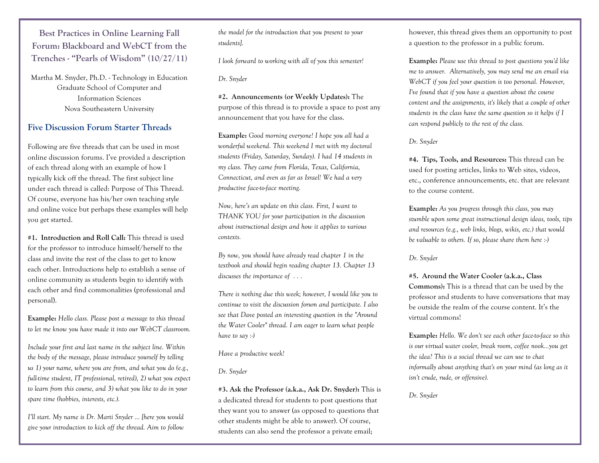**Best Practices in Online Learning Fall Forum: Blackboard and WebCT from the Trenches - "Pearls of Wisdom" (10/27/11)**

Martha M. Snyder, Ph.D. - Technology in Education Graduate School of Computer and Information Sciences Nova Southeastern University

### **Five Discussion Forum Starter Threads**

Following are five threads that can be used in most online discussion forums. I've provided a description of each thread along with an example of how I typically kick off the thread. The first subject line under each thread is called: Purpose of This Thread. Of course, everyone has his/her own teaching style and online voice but perhaps these examples will help you get started.

**#1. Introduction and Roll Call:** This thread is used for the professor to introduce himself/herself to the class and invite the rest of the class to get to know each other. Introductions help to establish a sense of online community as students begin to identify with each other and find commonalities (professional and personal).

**Example:** *Hello class. Please post a message to this thread to let me know you have made it into our WebCT classroom.* 

*Include your first and last name in the subject line. Within the body of the message, please introduce yourself by telling us 1) your name, where you are from, and what you do (e.g., full-time student, IT professional, retired), 2) what you expect to learn from this course, and 3) what you like to do in your spare time (hobbies, interests, etc.).*

*I'll start. My name is Dr. Marti Snyder … [here you would give your introduction to kick off the thread. Aim to follow*  *the model for the introduction that you present to your students].* 

*I look forward to working with all of you this semester!*

*Dr. Snyder*

**#2. Announcements (or Weekly Updates):** The purpose of this thread is to provide a space to post any announcement that you have for the class.

**Example:** *Good morning everyone! I hope you all had a wonderful weekend. This weekend I met with my doctoral students (Friday, Saturday, Sunday). I had 14 students in my class. They came from Florida, Texas, California, Connecticut, and even as far as Israel! We had a very productive face-to-face meeting.*

*Now, here's an update on this class. First, I want to THANK YOU for your participation in the discussion about instructional design and how it applies to various contexts.* 

*By now, you should have already read chapter 1 in the textbook and should begin reading chapter 13. Chapter 13 discusses the importance of . . .*

*There is nothing due this week; however, I would like you to continue to visit the discussion forum and participate. I also see that Dave posted an interesting question in the "Around the Water Cooler" thread. I am eager to learn what people have to say :-)*

#### *Have a productive week!*

#### *Dr. Snyder*

**#3. Ask the Professor (a.k.a., Ask Dr. Snyder):** This is a dedicated thread for students to post questions that they want you to answer (as opposed to questions that other students might be able to answer). Of course, students can also send the professor a private email;

however, this thread gives them an opportunity to post a question to the professor in a public forum.

**Example:** *Please use this thread to post questions you'd like me to answer. Alternatively, you may send me an email via WebCT if you feel your question is too personal. However, I've found that if you have a question about the course content and the assignments, it's likely that a couple of other students in the class have the same question so it helps if I can respond publicly to the rest of the class.*

### *Dr. Snyder*

**#4. Tips, Tools, and Resources:** This thread can be used for posting articles, links to Web sites, videos, etc., conference announcements, etc. that are relevant to the course content.

**Example:** *As you progress through this class, you may stumble upon some great instructional design ideas, tools, tips and resources (e.g., web links, blogs, wikis, etc.) that would be valuable to others. If so, please share them here :-)*

*Dr. Snyder*

**#5. Around the Water Cooler (a.k.a., Class Commons):** This is a thread that can be used by the professor and students to have conversations that may be outside the realm of the course content. It's the virtual commons!

**Example:** *Hello. We don't see each other face-to-face so this is our virtual water cooler, break room, coffee nook...you get the idea? This is a social thread we can use to chat informally about anything that's on your mind (as long as it isn't crude, rude, or offensive).*

*Dr. Snyder*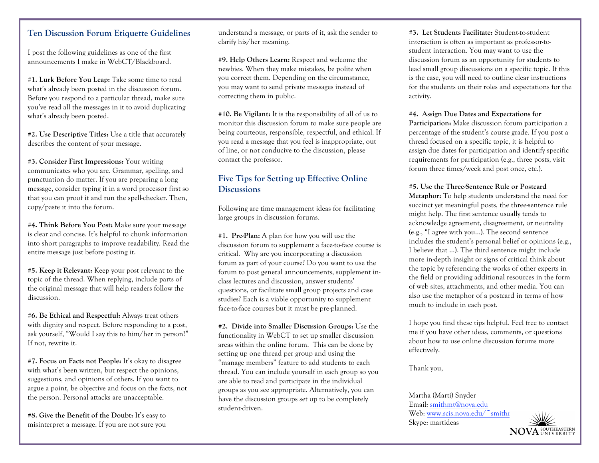# **Ten Discussion Forum Etiquette Guidelines**

I post the following guidelines as one of the first announcements I make in WebCT/Blackboard.

**#1. Lurk Before You Leap:** Take some time to read what's already been posted in the discussion forum. Before you respond to a particular thread, make sure you've read all the messages in it to avoid duplicating what's already been posted.

**#2. Use Descriptive Titles:** Use a title that accurately describes the content of your message.

**#3. Consider First Impressions:** Your writing communicates who you are. Grammar, spelling, and punctuation do matter. If you are preparing a long message, consider typing it in a word processor first so that you can proof it and run the spell-checker. Then, copy/paste it into the forum.

**#4. Think Before You Post:** Make sure your message is clear and concise. It's helpful to chunk information into short paragraphs to improve readability. Read the entire message just before posting it.

**#5. Keep it Relevant:** Keep your post relevant to the topic of the thread. When replying, include parts of the original message that will help readers follow the discussion.

**#6. Be Ethical and Respectful:** Always treat others with dignity and respect. Before responding to a post, ask yourself, "Would I say this to him/her in person?" If not, rewrite it.

**#7. Focus on Facts not People:** It's okay to disagree with what's been written, but respect the opinions, suggestions, and opinions of others. If you want to argue a point, be objective and focus on the facts, not the person. Personal attacks are unacceptable.

**#8. Give the Benefit of the Doubt:** It's easy to misinterpret a message. If you are not sure you understand a message, or parts of it, ask the sender to clarify his/her meaning.

**#9. Help Others Learn:** Respect and welcome the newbies. When they make mistakes, be polite when you correct them. Depending on the circumstance, you may want to send private messages instead of correcting them in public.

**#10. Be Vigilant:** It is the responsibility of all of us to monitor this discussion forum to make sure people are being courteous, responsible, respectful, and ethical. If you read a message that you feel is inappropriate, out of line, or not conducive to the discussion, please contact the professor.

# **Five Tips for Setting up Effective Online Discussions**

Following are time management ideas for facilitating large groups in discussion forums.

**#1. Pre-Plan:** A plan for how you will use the discussion forum to supplement a face-to-face course is critical. Why are you incorporating a discussion forum as part of your course? Do you want to use the forum to post general announcements, supplement inclass lectures and discussion, answer students' questions, or facilitate small group projects and case studies? Each is a viable opportunity to supplement face-to-face courses but it must be pre-planned.

**#2. Divide into Smaller Discussion Groups:** Use the functionality in WebCT to set up smaller discussion areas within the online forum. This can be done by setting up one thread per group and using the "manage members" feature to add students to each thread. You can include yourself in each group so you are able to read and participate in the individual groups as you see appropriate. Alternatively, you can have the discussion groups set up to be completely student-driven.

**#3. Let Students Facilitate:** Student-to-student interaction is often as important as professor-tostudent interaction. You may want to use the discussion forum as an opportunity for students to lead small group discussions on a specific topic. If this is the case, you will need to outline clear instructions for the students on their roles and expectations for the activity.

#### **#4. Assign Due Dates and Expectations for**

**Participation:** Make discussion forum participation a percentage of the student's course grade. If you post a thread focused on a specific topic, it is helpful to assign due dates for participation and identify specific requirements for participation (e.g., three posts, visit forum three times/week and post once, etc.).

**#5. Use the Three-Sentence Rule or Postcard** 

**Metaphor:** To help students understand the need for succinct yet meaningful posts, the three-sentence rule might help. The first sentence usually tends to acknowledge agreement, disagreement, or neutrality (e.g., "I agree with you…). The second sentence includes the student's personal belief or opinions (e.g., I believe that …). The third sentence might include more in-depth insight or signs of critical think about the topic by referencing the works of other experts in the field or providing additional resources in the form of web sites, attachments, and other media. You can also use the metaphor of a postcard in terms of how much to include in each post.

I hope you find these tips helpful. Feel free to contact me if you have other ideas, comments, or questions about how to use online discussion forums more effectively.

Thank you,

Martha (Marti) Snyder Email: smithmt@nova.edu Web: www.scis.nova.edu/~smithi Skype: martideas